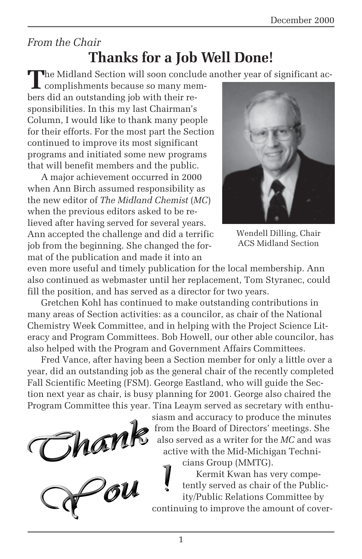### *From the Chair* **Thanks for a Job Well Done!**

**T**he Midland Section will soon conclude another year of significant ac-

complishments because so many members did an outstanding job with their responsibilities. In this my last Chairman's Column, I would like to thank many people for their efforts. For the most part the Section continued to improve its most significant programs and initiated some new programs that will benefit members and the public.

A major achievement occurred in 2000 when Ann Birch assumed responsibility as the new editor of *The Midland Chemist* (*MC*) when the previous editors asked to be relieved after having served for several years. Ann accepted the challenge and did a terrific job from the beginning. She changed the format of the publication and made it into an



Wendell Dilling, Chair ACS Midland Section

even more useful and timely publication for the local membership. Ann also continued as webmaster until her replacement, Tom Styranec, could fill the position, and has served as a director for two years.

Gretchen Kohl has continued to make outstanding contributions in many areas of Section activities: as a councilor, as chair of the National Chemistry Week Committee, and in helping with the Project Science Literacy and Program Committees. Bob Howell, our other able councilor, has also helped with the Program and Government Affairs Committees.

Fred Vance, after having been a Section member for only a little over a year, did an outstanding job as the general chair of the recently completed Fall Scientific Meeting (FSM). George Eastland, who will guide the Section next year as chair, is busy planning for 2001. George also chaired the Program Committee this year. Tina Leaym served as secretary with enthu-

Chant<br>Chant



siasm and accuracy to produce the minutes from the Board of Directors' meetings. She also served as a writer for the *MC* and was active with the Mid-Michigan Technicians Group (MMTG).

Kermit Kwan has very competently served as chair of the Publicity/Public Relations Committee by continuing to improve the amount of cover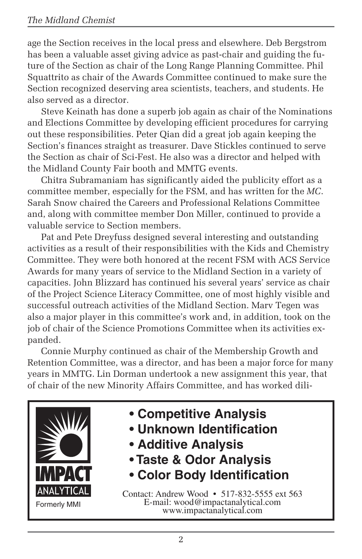age the Section receives in the local press and elsewhere. Deb Bergstrom has been a valuable asset giving advice as past-chair and guiding the future of the Section as chair of the Long Range Planning Committee. Phil Squattrito as chair of the Awards Committee continued to make sure the Section recognized deserving area scientists, teachers, and students. He also served as a director.

Steve Keinath has done a superb job again as chair of the Nominations and Elections Committee by developing efficient procedures for carrying out these responsibilities. Peter Qian did a great job again keeping the Section's finances straight as treasurer. Dave Stickles continued to serve the Section as chair of Sci-Fest. He also was a director and helped with the Midland County Fair booth and MMTG events.

Chitra Subramaniam has significantly aided the publicity effort as a committee member, especially for the FSM, and has written for the *MC*. Sarah Snow chaired the Careers and Professional Relations Committee and, along with committee member Don Miller, continued to provide a valuable service to Section members.

Pat and Pete Dreyfuss designed several interesting and outstanding activities as a result of their responsibilities with the Kids and Chemistry Committee. They were both honored at the recent FSM with ACS Service Awards for many years of service to the Midland Section in a variety of capacities. John Blizzard has continued his several years' service as chair of the Project Science Literacy Committee, one of most highly visible and successful outreach activities of the Midland Section. Marv Tegen was also a major player in this committee's work and, in addition, took on the job of chair of the Science Promotions Committee when its activities expanded.

Connie Murphy continued as chair of the Membership Growth and Retention Committee, was a director, and has been a major force for many years in MMTG. Lin Dorman undertook a new assignment this year, that of chair of the new Minority Affairs Committee, and has worked dili-



- **Competitive Analysis**
- **Unknown Identification**
- **Additive Analysis**
- **Taste & Odor Analysis**
- **Color Body Identification**

Contact: Andrew Wood • 517-832-5555 ext 563 E-mail: wood@impactanalytical.com www.impactanalytical.com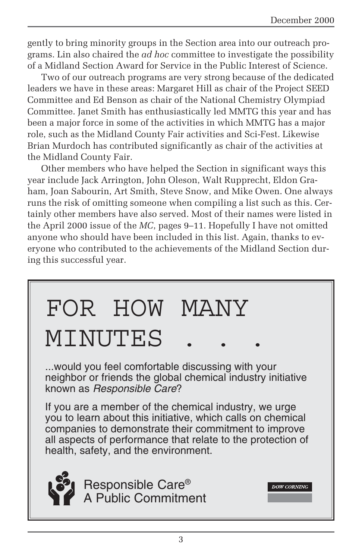gently to bring minority groups in the Section area into our outreach programs. Lin also chaired the *ad hoc* committee to investigate the possibility of a Midland Section Award for Service in the Public Interest of Science.

Two of our outreach programs are very strong because of the dedicated leaders we have in these areas: Margaret Hill as chair of the Project SEED Committee and Ed Benson as chair of the National Chemistry Olympiad Committee. Janet Smith has enthusiastically led MMTG this year and has been a major force in some of the activities in which MMTG has a major role, such as the Midland County Fair activities and Sci-Fest. Likewise Brian Murdoch has contributed significantly as chair of the activities at the Midland County Fair.

Other members who have helped the Section in significant ways this year include Jack Arrington, John Oleson, Walt Rupprecht, Eldon Graham, Joan Sabourin, Art Smith, Steve Snow, and Mike Owen. One always runs the risk of omitting someone when compiling a list such as this. Certainly other members have also served. Most of their names were listed in the April 2000 issue of the *MC*, pages 9–11. Hopefully I have not omitted anyone who should have been included in this list. Again, thanks to everyone who contributed to the achievements of the Midland Section during this successful year.

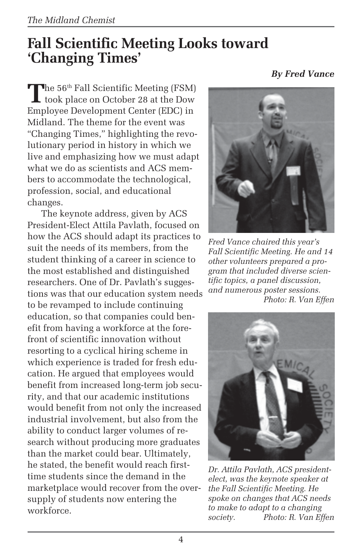## **Fall Scientific Meeting Looks toward 'Changing Times'**

The 56<sup>th</sup> Fall Scientific Meeting (FSM)<br>took place on October 28 at the Dow Employee Development Center (EDC) in Midland. The theme for the event was "Changing Times," highlighting the revolutionary period in history in which we live and emphasizing how we must adapt what we do as scientists and ACS members to accommodate the technological, profession, social, and educational changes.

The keynote address, given by ACS President-Elect Attila Pavlath, focused on how the ACS should adapt its practices to suit the needs of its members, from the student thinking of a career in science to the most established and distinguished researchers. One of Dr. Pavlath's suggestions was that our education system needs to be revamped to include continuing education, so that companies could benefit from having a workforce at the forefront of scientific innovation without resorting to a cyclical hiring scheme in which experience is traded for fresh education. He argued that employees would benefit from increased long-term job security, and that our academic institutions would benefit from not only the increased industrial involvement, but also from the ability to conduct larger volumes of research without producing more graduates than the market could bear. Ultimately, he stated, the benefit would reach firsttime students since the demand in the marketplace would recover from the oversupply of students now entering the workforce.

*By Fred Vance*



*Fred Vance chaired this year's Fall Scientific Meeting. He and 14 other volunteers prepared a program that included diverse scientific topics, a panel discussion, and numerous poster sessions. Photo: R. Van Effen*



*Dr. Attila Pavlath, ACS presidentelect, was the keynote speaker at the Fall Scientific Meeting. He spoke on changes that ACS needs to make to adapt to a changing society. Photo: R. Van Effen*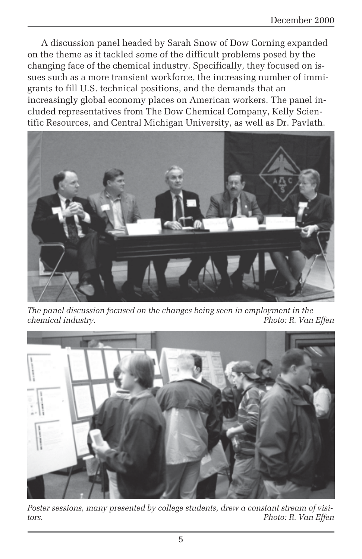A discussion panel headed by Sarah Snow of Dow Corning expanded on the theme as it tackled some of the difficult problems posed by the changing face of the chemical industry. Specifically, they focused on issues such as a more transient workforce, the increasing number of immigrants to fill U.S. technical positions, and the demands that an increasingly global economy places on American workers. The panel included representatives from The Dow Chemical Company, Kelly Scientific Resources, and Central Michigan University, as well as Dr. Pavlath.



*The panel discussion focused on the changes being seen in employment in the chemical industry. Photo: R. Van Effen*



*Poster sessions, many presented by college students, drew a constant stream of visitors. Photo: R. Van Effen*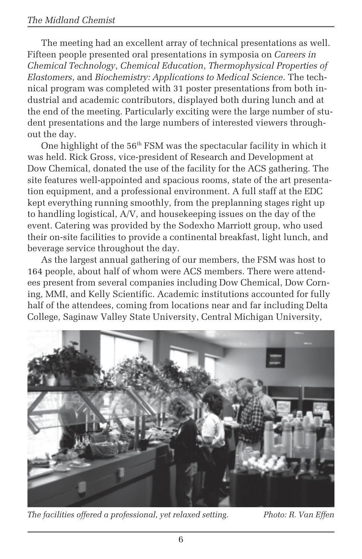The meeting had an excellent array of technical presentations as well. Fifteen people presented oral presentations in symposia on *Careers in Chemical Technology*, *Chemical Education*, *Thermophysical Properties of Elastomers*, and *Biochemistry: Applications to Medical Science*. The technical program was completed with 31 poster presentations from both industrial and academic contributors, displayed both during lunch and at the end of the meeting. Particularly exciting were the large number of student presentations and the large numbers of interested viewers throughout the day.

One highlight of the 56<sup>th</sup> FSM was the spectacular facility in which it was held. Rick Gross, vice-president of Research and Development at Dow Chemical, donated the use of the facility for the ACS gathering. The site features well-appointed and spacious rooms, state of the art presentation equipment, and a professional environment. A full staff at the EDC kept everything running smoothly, from the preplanning stages right up to handling logistical, A/V, and housekeeping issues on the day of the event. Catering was provided by the Sodexho Marriott group, who used their on-site facilities to provide a continental breakfast, light lunch, and beverage service throughout the day.

As the largest annual gathering of our members, the FSM was host to 164 people, about half of whom were ACS members. There were attendees present from several companies including Dow Chemical, Dow Corning, MMI, and Kelly Scientific. Academic institutions accounted for fully half of the attendees, coming from locations near and far including Delta College, Saginaw Valley State University, Central Michigan University,



*The facilities offered a professional, yet relaxed setting. Photo: R. Van Effen*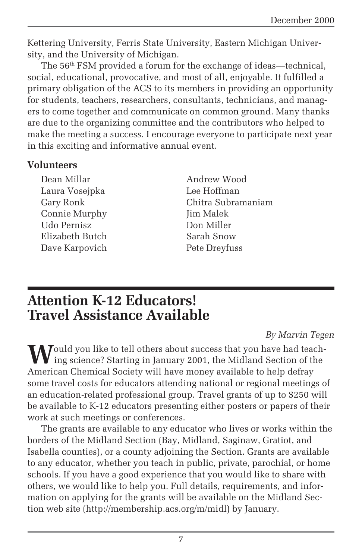Kettering University, Ferris State University, Eastern Michigan University, and the University of Michigan.

The 56th FSM provided a forum for the exchange of ideas—technical, social, educational, provocative, and most of all, enjoyable. It fulfilled a primary obligation of the ACS to its members in providing an opportunity for students, teachers, researchers, consultants, technicians, and managers to come together and communicate on common ground. Many thanks are due to the organizing committee and the contributors who helped to make the meeting a success. I encourage everyone to participate next year in this exciting and informative annual event.

#### **Volunteers**

Dean Millar Laura Vosejpka Gary Ronk Connie Murphy Udo Pernisz Elizabeth Butch Dave Karpovich

Andrew Wood Lee Hoffman Chitra Subramaniam Jim Malek Don Miller Sarah Snow Pete Dreyfuss

### **Attention K-12 Educators! Travel Assistance Available**

#### *By Marvin Tegen*

Would you like to tell others about success that you have had teach-<br>ing science? Starting in January 2001, the Midland Section of the American Chemical Society will have money available to help defray some travel costs for educators attending national or regional meetings of an education-related professional group. Travel grants of up to \$250 will be available to K-12 educators presenting either posters or papers of their work at such meetings or conferences.

The grants are available to any educator who lives or works within the borders of the Midland Section (Bay, Midland, Saginaw, Gratiot, and Isabella counties), or a county adjoining the Section. Grants are available to any educator, whether you teach in public, private, parochial, or home schools. If you have a good experience that you would like to share with others, we would like to help you. Full details, requirements, and information on applying for the grants will be available on the Midland Section web site (http://membership.acs.org/m/midl) by January.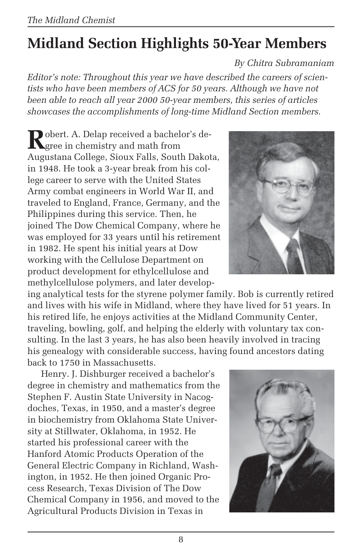# **Midland Section Highlights 50-Year Members**

#### *By Chitra Subramaniam*

*Editor's note: Throughout this year we have described the careers of scientists who have been members of ACS for 50 years. Although we have not been able to reach all year 2000 50-year members, this series of articles showcases the accomplishments of long-time Midland Section members.*

Robert. A. Delap received a bachelor's de-<br>gree in chemistry and math from Augustana College, Sioux Falls, South Dakota, in 1948. He took a 3-year break from his college career to serve with the United States Army combat engineers in World War II, and traveled to England, France, Germany, and the Philippines during this service. Then, he joined The Dow Chemical Company, where he was employed for 33 years until his retirement in 1982. He spent his initial years at Dow working with the Cellulose Department on product development for ethylcellulose and methylcellulose polymers, and later develop-

ing analytical tests for the styrene polymer family. Bob is currently retired and lives with his wife in Midland, where they have lived for 51 years. In his retired life, he enjoys activities at the Midland Community Center, traveling, bowling, golf, and helping the elderly with voluntary tax consulting. In the last 3 years, he has also been heavily involved in tracing his genealogy with considerable success, having found ancestors dating back to 1750 in Massachusetts.

Henry. J. Dishburger received a bachelor's degree in chemistry and mathematics from the Stephen F. Austin State University in Nacogdoches, Texas, in 1950, and a master's degree in biochemistry from Oklahoma State University at Stillwater, Oklahoma, in 1952. He started his professional career with the Hanford Atomic Products Operation of the General Electric Company in Richland, Washington, in 1952. He then joined Organic Process Research, Texas Division of The Dow Chemical Company in 1956, and moved to the Agricultural Products Division in Texas in



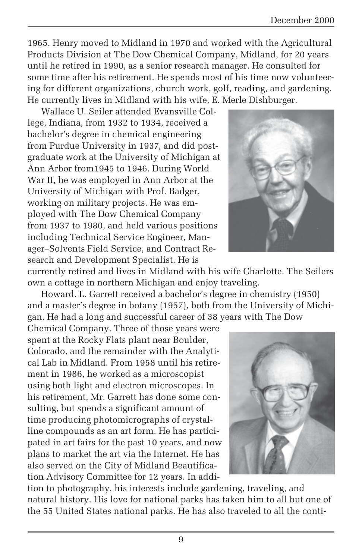1965. Henry moved to Midland in 1970 and worked with the Agricultural Products Division at The Dow Chemical Company, Midland, for 20 years until he retired in 1990, as a senior research manager. He consulted for some time after his retirement. He spends most of his time now volunteering for different organizations, church work, golf, reading, and gardening. He currently lives in Midland with his wife, E. Merle Dishburger.

Wallace U. Seiler attended Evansville College, Indiana, from 1932 to 1934, received a bachelor's degree in chemical engineering from Purdue University in 1937, and did postgraduate work at the University of Michigan at Ann Arbor from1945 to 1946. During World War II, he was employed in Ann Arbor at the University of Michigan with Prof. Badger, working on military projects. He was employed with The Dow Chemical Company from 1937 to 1980, and held various positions including Technical Service Engineer, Manager–Solvents Field Service, and Contract Research and Development Specialist. He is



currently retired and lives in Midland with his wife Charlotte. The Seilers own a cottage in northern Michigan and enjoy traveling.

Howard. L. Garrett received a bachelor's degree in chemistry (1950) and a master's degree in botany (1957), both from the University of Michigan. He had a long and successful career of 38 years with The Dow

Chemical Company. Three of those years were spent at the Rocky Flats plant near Boulder, Colorado, and the remainder with the Analytical Lab in Midland. From 1958 until his retirement in 1986, he worked as a microscopist using both light and electron microscopes. In his retirement, Mr. Garrett has done some consulting, but spends a significant amount of time producing photomicrographs of crystalline compounds as an art form. He has participated in art fairs for the past 10 years, and now plans to market the art via the Internet. He has also served on the City of Midland Beautification Advisory Committee for 12 years. In addi-



tion to photography, his interests include gardening, traveling, and natural history. His love for national parks has taken him to all but one of the 55 United States national parks. He has also traveled to all the conti-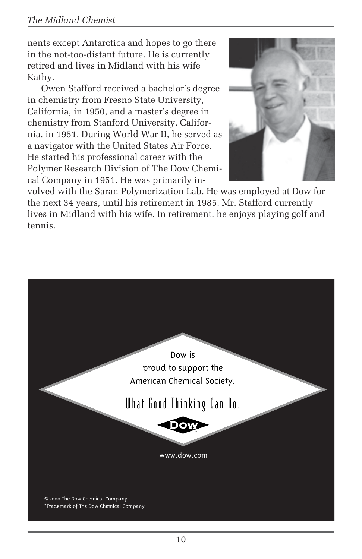#### *The Midland Chemist*

nents except Antarctica and hopes to go there in the not-too-distant future. He is currently retired and lives in Midland with his wife Kathy.

Owen Stafford received a bachelor's degree in chemistry from Fresno State University, California, in 1950, and a master's degree in chemistry from Stanford University, California, in 1951. During World War II, he served as a navigator with the United States Air Force. He started his professional career with the Polymer Research Division of The Dow Chemical Company in 1951. He was primarily in-



volved with the Saran Polymerization Lab. He was employed at Dow for the next 34 years, until his retirement in 1985. Mr. Stafford currently lives in Midland with his wife. In retirement, he enjoys playing golf and tennis.

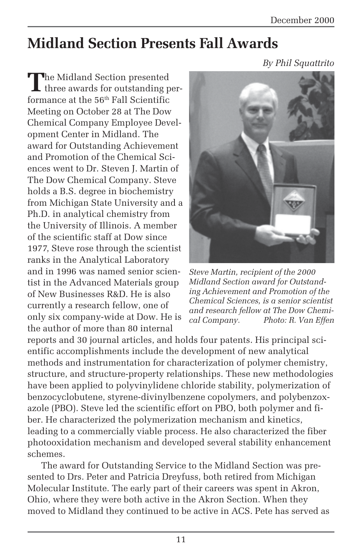## **Midland Section Presents Fall Awards**

*By Phil Squattrito*

The Midland Section presented I three awards for outstanding performance at the  $56<sup>th</sup>$  Fall Scientific Meeting on October 28 at The Dow Chemical Company Employee Development Center in Midland. The award for Outstanding Achievement and Promotion of the Chemical Sciences went to Dr. Steven J. Martin of The Dow Chemical Company. Steve holds a B.S. degree in biochemistry from Michigan State University and a Ph.D. in analytical chemistry from the University of Illinois. A member of the scientific staff at Dow since 1977, Steve rose through the scientist ranks in the Analytical Laboratory and in 1996 was named senior scientist in the Advanced Materials group of New Businesses R&D. He is also currently a research fellow, one of only six company-wide at Dow. He is the author of more than 80 internal



*Steve Martin, recipient of the 2000 Midland Section award for Outstanding Achievement and Promotion of the Chemical Sciences, is a senior scientist and research fellow at The Dow Chemical Company. Photo: R. Van Effen*

reports and 30 journal articles, and holds four patents. His principal scientific accomplishments include the development of new analytical methods and instrumentation for characterization of polymer chemistry, structure, and structure-property relationships. These new methodologies have been applied to polyvinylidene chloride stability, polymerization of benzocyclobutene, styrene-divinylbenzene copolymers, and polybenzoxazole (PBO). Steve led the scientific effort on PBO, both polymer and fiber. He characterized the polymerization mechanism and kinetics, leading to a commercially viable process. He also characterized the fiber photooxidation mechanism and developed several stability enhancement schemes.

The award for Outstanding Service to the Midland Section was presented to Drs. Peter and Patricia Dreyfuss, both retired from Michigan Molecular Institute. The early part of their careers was spent in Akron, Ohio, where they were both active in the Akron Section. When they moved to Midland they continued to be active in ACS. Pete has served as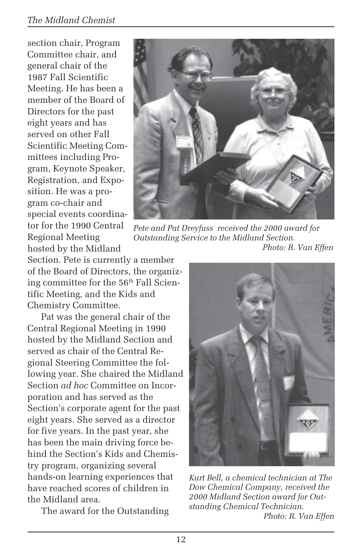#### *The Midland Chemist*

section chair, Program Committee chair, and general chair of the 1987 Fall Scientific Meeting. He has been a member of the Board of Directors for the past eight years and has served on other Fall Scientific Meeting Committees including Program, Keynote Speaker, Registration, and Exposition. He was a program co-chair and special events coordinator for the 1990 Central Regional Meeting hosted by the Midland



*Pete and Pat Dreyfuss received the 2000 award for Outstanding Service to the Midland Section. Photo: R. Van Effen*

Section. Pete is currently a member of the Board of Directors, the organizing committee for the 56<sup>th</sup> Fall Scientific Meeting, and the Kids and Chemistry Committee.

Pat was the general chair of the Central Regional Meeting in 1990 hosted by the Midland Section and served as chair of the Central Regional Steering Committee the following year. She chaired the Midland Section *ad hoc* Committee on Incorporation and has served as the Section's corporate agent for the past eight years. She served as a director for five years. In the past year, she has been the main driving force behind the Section's Kids and Chemistry program, organizing several hands-on learning experiences that have reached scores of children in the Midland area.

The award for the Outstanding



*Kurt Bell, a chemical technician at The Dow Chemical Company, received the 2000 Midland Section award for Outstanding Chemical Technician. Photo: R. Van Effen*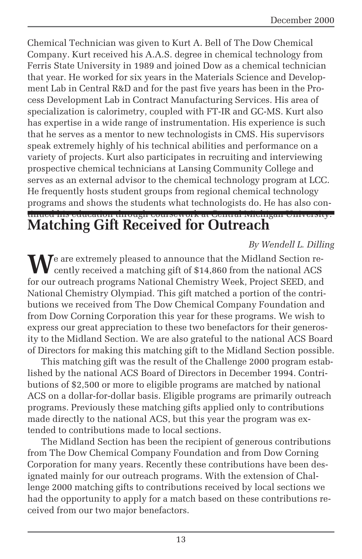Chemical Technician was given to Kurt A. Bell of The Dow Chemical Company. Kurt received his A.A.S. degree in chemical technology from Ferris State University in 1989 and joined Dow as a chemical technician that year. He worked for six years in the Materials Science and Development Lab in Central R&D and for the past five years has been in the Process Development Lab in Contract Manufacturing Services. His area of specialization is calorimetry, coupled with FT-IR and GC-MS. Kurt also has expertise in a wide range of instrumentation. His experience is such that he serves as a mentor to new technologists in CMS. His supervisors speak extremely highly of his technical abilities and performance on a variety of projects. Kurt also participates in recruiting and interviewing prospective chemical technicians at Lansing Community College and serves as an external advisor to the chemical technology program at LCC. He frequently hosts student groups from regional chemical technology programs and shows the students what technologists do. He has also con-

#### tinued his education through coursework at Central Michigan University. **Matching Gift Received for Outreach**

#### *By Wendell L. Dilling*

We are extremely pleased to announce that the Midland Section re-<br>cently received a matching gift of \$14,860 from the national ACS for our outreach programs National Chemistry Week, Project SEED, and National Chemistry Olympiad. This gift matched a portion of the contributions we received from The Dow Chemical Company Foundation and from Dow Corning Corporation this year for these programs. We wish to express our great appreciation to these two benefactors for their generosity to the Midland Section. We are also grateful to the national ACS Board of Directors for making this matching gift to the Midland Section possible.

This matching gift was the result of the Challenge 2000 program established by the national ACS Board of Directors in December 1994. Contributions of \$2,500 or more to eligible programs are matched by national ACS on a dollar-for-dollar basis. Eligible programs are primarily outreach programs. Previously these matching gifts applied only to contributions made directly to the national ACS, but this year the program was extended to contributions made to local sections.

The Midland Section has been the recipient of generous contributions from The Dow Chemical Company Foundation and from Dow Corning Corporation for many years. Recently these contributions have been designated mainly for our outreach programs. With the extension of Challenge 2000 matching gifts to contributions received by local sections we had the opportunity to apply for a match based on these contributions received from our two major benefactors.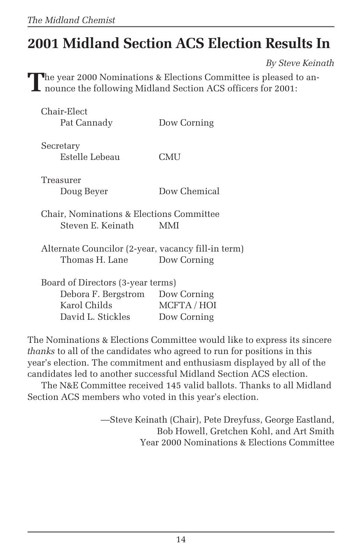# **2001 Midland Section ACS Election Results In**

*By Steve Keinath*

**T**he year 2000 Nominations & Elections Committee is pleased to an-I nounce the following Midland Section ACS officers for 2001:

| Chair-Elect                                        |              |  |
|----------------------------------------------------|--------------|--|
| Pat Cannady                                        | Dow Corning  |  |
|                                                    |              |  |
| Secretary                                          |              |  |
| Estelle Lebeau                                     | CMU          |  |
| Treasurer                                          |              |  |
|                                                    |              |  |
| Doug Beyer                                         | Dow Chemical |  |
| Chair, Nominations & Elections Committee           |              |  |
| Steven E. Keinath –                                | MMI          |  |
|                                                    |              |  |
| Alternate Councilor (2-year, vacancy fill-in term) |              |  |
| Thomas H. Lane                                     | Dow Corning  |  |
|                                                    |              |  |
| Board of Directors (3-year terms)                  |              |  |
| Debora F. Bergstrom                                | Dow Corning  |  |
| Karol Childs                                       | MCFTA / HOI  |  |
| David L. Stickles                                  | Dow Corning  |  |

The Nominations & Elections Committee would like to express its sincere *thanks* to all of the candidates who agreed to run for positions in this year's election. The commitment and enthusiasm displayed by all of the candidates led to another successful Midland Section ACS election.

The N&E Committee received 145 valid ballots. Thanks to all Midland Section ACS members who voted in this year's election.

> —Steve Keinath (Chair), Pete Dreyfuss, George Eastland, Bob Howell, Gretchen Kohl, and Art Smith Year 2000 Nominations & Elections Committee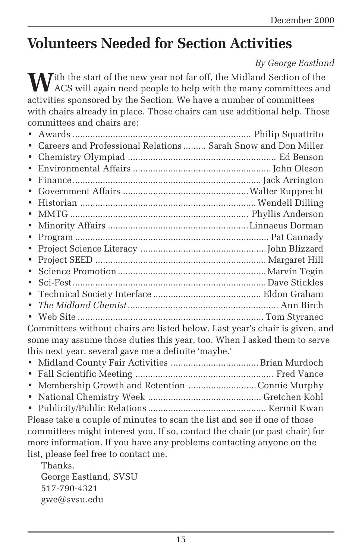## **Volunteers Needed for Section Activities**

#### *By George Eastland*

**M**ith the start of the new year not far off, the Midland Section of the ACS will again need people to help with the many committees and activities sponsored by the Section. We have a number of committees with chairs already in place. Those chairs can use additional help. Those committees and chairs are:

| • Careers and Professional Relations  Sarah Snow and Don Miller           |  |
|---------------------------------------------------------------------------|--|
|                                                                           |  |
|                                                                           |  |
|                                                                           |  |
|                                                                           |  |
|                                                                           |  |
|                                                                           |  |
|                                                                           |  |
|                                                                           |  |
| $\bullet$                                                                 |  |
| $\bullet$                                                                 |  |
|                                                                           |  |
|                                                                           |  |
|                                                                           |  |
|                                                                           |  |
|                                                                           |  |
| Committees without chairs are listed below Last year's chair is given and |  |

s without chairs are listed below. Last year's chair is given, and some may assume those duties this year, too. When I asked them to serve this next year, several gave me a definite 'maybe.'

| • Membership Growth and Retention Connie Murphy |  |
|-------------------------------------------------|--|
|                                                 |  |
|                                                 |  |

Please take a couple of minutes to scan the list and see if one of those committees might interest you. If so, contact the chair (or past chair) for more information. If you have any problems contacting anyone on the list, please feel free to contact me.

Thanks. George Eastland, SVSU 517-790-4321 gwe@svsu.edu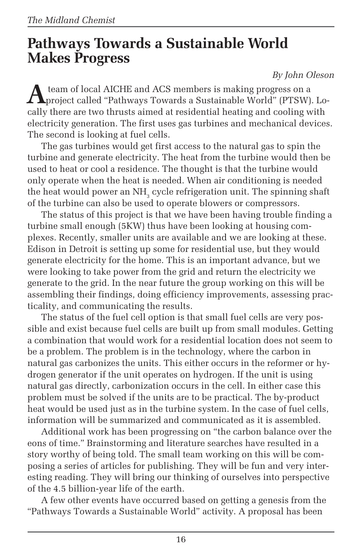## **Pathways Towards a Sustainable World Makes Progress**

#### *By John Oleson*

**A** team of local AICHE and ACS members is making progress on a<br>project called "Pathways Towards a Sustainable World" (PTSW). Locally there are two thrusts aimed at residential heating and cooling with electricity generation. The first uses gas turbines and mechanical devices. The second is looking at fuel cells.

The gas turbines would get first access to the natural gas to spin the turbine and generate electricity. The heat from the turbine would then be used to heat or cool a residence. The thought is that the turbine would only operate when the heat is needed. When air conditioning is needed the heat would power an NH $_{\textrm{\tiny{3}}}$  cycle refrigeration unit. The spinning shaft of the turbine can also be used to operate blowers or compressors.

The status of this project is that we have been having trouble finding a turbine small enough (5KW) thus have been looking at housing complexes. Recently, smaller units are available and we are looking at these. Edison in Detroit is setting up some for residential use, but they would generate electricity for the home. This is an important advance, but we were looking to take power from the grid and return the electricity we generate to the grid. In the near future the group working on this will be assembling their findings, doing efficiency improvements, assessing practicality, and communicating the results.

The status of the fuel cell option is that small fuel cells are very possible and exist because fuel cells are built up from small modules. Getting a combination that would work for a residential location does not seem to be a problem. The problem is in the technology, where the carbon in natural gas carbonizes the units. This either occurs in the reformer or hydrogen generator if the unit operates on hydrogen. If the unit is using natural gas directly, carbonization occurs in the cell. In either case this problem must be solved if the units are to be practical. The by-product heat would be used just as in the turbine system. In the case of fuel cells, information will be summarized and communicated as it is assembled.

Additional work has been progressing on "the carbon balance over the eons of time." Brainstorming and literature searches have resulted in a story worthy of being told. The small team working on this will be composing a series of articles for publishing. They will be fun and very interesting reading. They will bring our thinking of ourselves into perspective of the 4.5 billion-year life of the earth.

A few other events have occurred based on getting a genesis from the "Pathways Towards a Sustainable World" activity. A proposal has been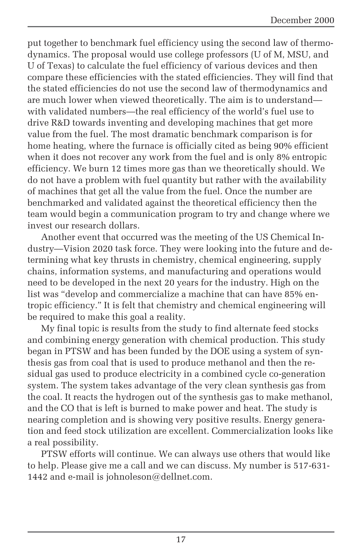put together to benchmark fuel efficiency using the second law of thermodynamics. The proposal would use college professors (U of M, MSU, and U of Texas) to calculate the fuel efficiency of various devices and then compare these efficiencies with the stated efficiencies. They will find that the stated efficiencies do not use the second law of thermodynamics and are much lower when viewed theoretically. The aim is to understand with validated numbers—the real efficiency of the world's fuel use to drive R&D towards inventing and developing machines that get more value from the fuel. The most dramatic benchmark comparison is for home heating, where the furnace is officially cited as being 90% efficient when it does not recover any work from the fuel and is only 8% entropic efficiency. We burn 12 times more gas than we theoretically should. We do not have a problem with fuel quantity but rather with the availability of machines that get all the value from the fuel. Once the number are benchmarked and validated against the theoretical efficiency then the team would begin a communication program to try and change where we invest our research dollars.

Another event that occurred was the meeting of the US Chemical Industry—Vision 2020 task force. They were looking into the future and determining what key thrusts in chemistry, chemical engineering, supply chains, information systems, and manufacturing and operations would need to be developed in the next 20 years for the industry. High on the list was "develop and commercialize a machine that can have 85% entropic efficiency." It is felt that chemistry and chemical engineering will be required to make this goal a reality.

My final topic is results from the study to find alternate feed stocks and combining energy generation with chemical production. This study began in PTSW and has been funded by the DOE using a system of synthesis gas from coal that is used to produce methanol and then the residual gas used to produce electricity in a combined cycle co-generation system. The system takes advantage of the very clean synthesis gas from the coal. It reacts the hydrogen out of the synthesis gas to make methanol, and the CO that is left is burned to make power and heat. The study is nearing completion and is showing very positive results. Energy generation and feed stock utilization are excellent. Commercialization looks like a real possibility.

PTSW efforts will continue. We can always use others that would like to help. Please give me a call and we can discuss. My number is 517-631- 1442 and e-mail is johnoleson@dellnet.com.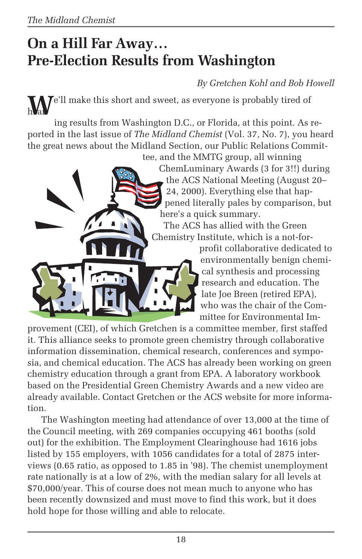## **On a Hill Far Away… Pre-Election Results from Washington**

*By Gretchen Kohl and Bob Howell*

**T**e'll make this short and sweet, as everyone is probably tired of h Var

ing results from Washington D.C., or Florida, at this point. As reported in the last issue of *The Midland Chemist* (Vol. 37, No. 7), you heard the great news about the Midland Section, our Public Relations Commit-

tee, and the MMTG group, all winning ChemLuminary Awards (3 for 3!!) during the ACS National Meeting (August 20– 24, 2000). Everything else that happened literally pales by comparison, but here's a quick summary.

The ACS has allied with the Green Chemistry Institute, which is a not-for-

> profit collaborative dedicated to environmentally benign chemical synthesis and processing research and education. The late Joe Breen (retired EPA), who was the chair of the Committee for Environmental Im-

provement (CEI), of which Gretchen is a committee member, first staffed it. This alliance seeks to promote green chemistry through collaborative information dissemination, chemical research, conferences and symposia, and chemical education. The ACS has already been working on green chemistry education through a grant from EPA. A laboratory workbook based on the Presidential Green Chemistry Awards and a new video are already available. Contact Gretchen or the ACS website for more information.

The Washington meeting had attendance of over 13,000 at the time of the Council meeting, with 269 companies occupying 461 booths (sold out) for the exhibition. The Employment Clearinghouse had 1616 jobs listed by 155 employers, with 1056 candidates for a total of 2875 interviews (0.65 ratio, as opposed to 1.85 in '98). The chemist unemployment rate nationally is at a low of 2%, with the median salary for all levels at \$70,000/year. This of course does not mean much to anyone who has been recently downsized and must move to find this work, but it does hold hope for those willing and able to relocate.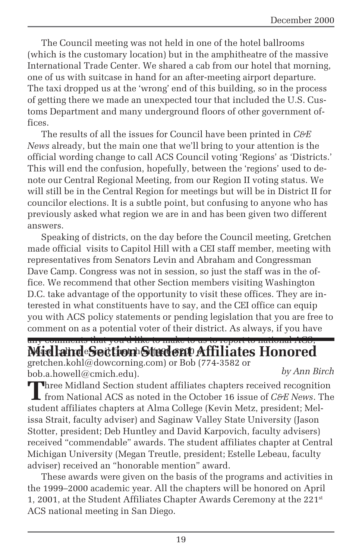The Council meeting was not held in one of the hotel ballrooms (which is the customary location) but in the amphitheatre of the massive International Trade Center. We shared a cab from our hotel that morning, one of us with suitcase in hand for an after-meeting airport departure. The taxi dropped us at the 'wrong' end of this building, so in the process of getting there we made an unexpected tour that included the U.S. Customs Department and many underground floors of other government offices.

The results of all the issues for Council have been printed in *C&E News* already, but the main one that we'll bring to your attention is the official wording change to call ACS Council voting 'Regions' as 'Districts.' This will end the confusion, hopefully, between the 'regions' used to denote our Central Regional Meeting, from our Region II voting status. We will still be in the Central Region for meetings but will be in District II for councilor elections. It is a subtle point, but confusing to anyone who has previously asked what region we are in and has been given two different answers.

Speaking of districts, on the day before the Council meeting, Gretchen made official visits to Capitol Hill with a CEI staff member, meeting with representatives from Senators Levin and Abraham and Congressman Dave Camp. Congress was not in session, so just the staff was in the office. We recommend that other Section members visiting Washington D.C. take advantage of the opportunity to visit these offices. They are interested in what constituents have to say, and the CEI office can equip you with ACS policy statements or pending legislation that you are free to comment on as a potential voter of their district. As always, if you have

#### any comments that you'd like to make to us to report to national ACS, Midland Section Student Affiliates Honored

gretchen.kohl@dowcorning.com) or Bob (774-3582 or bob.a.howell@cmich.edu). *by Ann Birch*

**Three Midland Section student affiliates chapters received recognition** from National ACS as noted in the October 16 issue of *C&E News*. The student affiliates chapters at Alma College (Kevin Metz, president; Melissa Strait, faculty adviser) and Saginaw Valley State University (Jason Stotter, president; Deb Huntley and David Karpovich, faculty advisers) received "commendable" awards. The student affiliates chapter at Central Michigan University (Megan Treutle, president; Estelle Lebeau, faculty adviser) received an "honorable mention" award.

These awards were given on the basis of the programs and activities in the 1999–2000 academic year. All the chapters will be honored on April 1, 2001, at the Student Affiliates Chapter Awards Ceremony at the 221st ACS national meeting in San Diego.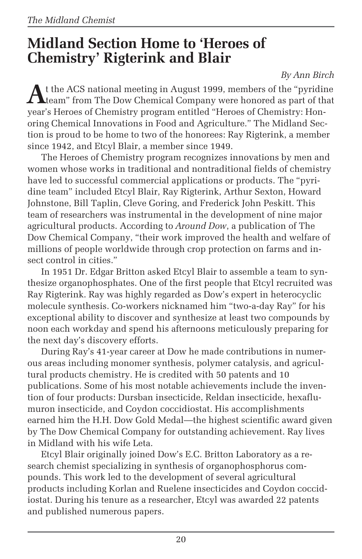## **Midland Section Home to 'Heroes of Chemistry' Rigterink and Blair**

#### *By Ann Birch*

At the ACS national meeting in August 1999, members of the "pyridine"<br>team" from The Dow Chemical Company were honored as part of that year's Heroes of Chemistry program entitled "Heroes of Chemistry: Honoring Chemical Innovations in Food and Agriculture." The Midland Section is proud to be home to two of the honorees: Ray Rigterink, a member since 1942, and Etcyl Blair, a member since 1949.

The Heroes of Chemistry program recognizes innovations by men and women whose works in traditional and nontraditional fields of chemistry have led to successful commercial applications or products. The "pyridine team" included Etcyl Blair, Ray Rigterink, Arthur Sexton, Howard Johnstone, Bill Taplin, Cleve Goring, and Frederick John Peskitt. This team of researchers was instrumental in the development of nine major agricultural products. According to *Around Dow*, a publication of The Dow Chemical Company, "their work improved the health and welfare of millions of people worldwide through crop protection on farms and insect control in cities."

In 1951 Dr. Edgar Britton asked Etcyl Blair to assemble a team to synthesize organophosphates. One of the first people that Etcyl recruited was Ray Rigterink. Ray was highly regarded as Dow's expert in heterocyclic molecule synthesis. Co-workers nicknamed him "two-a-day Ray" for his exceptional ability to discover and synthesize at least two compounds by noon each workday and spend his afternoons meticulously preparing for the next day's discovery efforts.

During Ray's 41-year career at Dow he made contributions in numerous areas including monomer synthesis, polymer catalysis, and agricultural products chemistry. He is credited with 50 patents and 10 publications. Some of his most notable achievements include the invention of four products: Dursban insecticide, Reldan insecticide, hexaflumuron insecticide, and Coydon coccidiostat. His accomplishments earned him the H.H. Dow Gold Medal—the highest scientific award given by The Dow Chemical Company for outstanding achievement. Ray lives in Midland with his wife Leta.

Etcyl Blair originally joined Dow's E.C. Britton Laboratory as a research chemist specializing in synthesis of organophosphorus compounds. This work led to the development of several agricultural products including Korlan and Ruelene insecticides and Coydon coccidiostat. During his tenure as a researcher, Etcyl was awarded 22 patents and published numerous papers.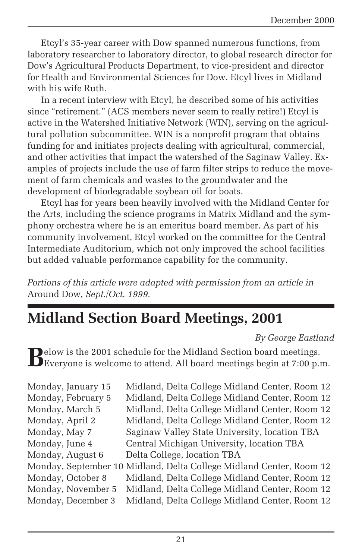Etcyl's 35-year career with Dow spanned numerous functions, from laboratory researcher to laboratory director, to global research director for Dow's Agricultural Products Department, to vice-president and director for Health and Environmental Sciences for Dow. Etcyl lives in Midland with his wife Ruth.

In a recent interview with Etcyl, he described some of his activities since "retirement." (ACS members never seem to really retire!) Etcyl is active in the Watershed Initiative Network (WIN), serving on the agricultural pollution subcommittee. WIN is a nonprofit program that obtains funding for and initiates projects dealing with agricultural, commercial, and other activities that impact the watershed of the Saginaw Valley. Examples of projects include the use of farm filter strips to reduce the movement of farm chemicals and wastes to the groundwater and the development of biodegradable soybean oil for boats.

Etcyl has for years been heavily involved with the Midland Center for the Arts, including the science programs in Matrix Midland and the symphony orchestra where he is an emeritus board member. As part of his community involvement, Etcyl worked on the committee for the Central Intermediate Auditorium, which not only improved the school facilities but added valuable performance capability for the community.

*Portions of this article were adapted with permission from an article in* Around Dow*, Sept./Oct. 1999.*

## **Midland Section Board Meetings, 2001**

#### *By George Eastland*

**B**elow is the 2001 schedule for the Midland Section board meetings. Everyone is welcome to attend. All board meetings begin at 7:00 p.m.

| Monday, January 15 | Midland, Delta College Midland Center, Room 12                      |
|--------------------|---------------------------------------------------------------------|
| Monday, February 5 | Midland, Delta College Midland Center, Room 12                      |
| Monday, March 5    | Midland, Delta College Midland Center, Room 12                      |
| Monday, April 2    | Midland, Delta College Midland Center, Room 12                      |
| Monday, May 7      | Saginaw Valley State University, location TBA                       |
| Monday, June 4     | Central Michigan University, location TBA                           |
| Monday, August 6   | Delta College, location TBA                                         |
|                    | Monday, September 10 Midland, Delta College Midland Center, Room 12 |
| Monday, October 8  | Midland, Delta College Midland Center, Room 12                      |
| Monday, November 5 | Midland, Delta College Midland Center, Room 12                      |
| Monday, December 3 | Midland, Delta College Midland Center, Room 12                      |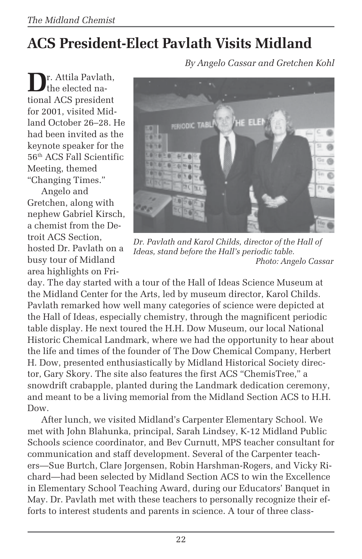# **ACS President-Elect Pavlath Visits Midland**

**D**r. Attila Pavlath, the elected national ACS president for 2001, visited Midland October 26–28. He had been invited as the keynote speaker for the 56th ACS Fall Scientific Meeting, themed "Changing Times."

Angelo and Gretchen, along with nephew Gabriel Kirsch, a chemist from the Detroit ACS Section, hosted Dr. Pavlath on a busy tour of Midland area highlights on Fri*By Angelo Cassar and Gretchen Kohl*



*Dr. Pavlath and Karol Childs, director of the Hall of Ideas, stand before the Hall's periodic table. Photo: Angelo Cassar*

day. The day started with a tour of the Hall of Ideas Science Museum at the Midland Center for the Arts, led by museum director, Karol Childs. Pavlath remarked how well many categories of science were depicted at the Hall of Ideas, especially chemistry, through the magnificent periodic table display. He next toured the H.H. Dow Museum, our local National Historic Chemical Landmark, where we had the opportunity to hear about the life and times of the founder of The Dow Chemical Company, Herbert H. Dow, presented enthusiastically by Midland Historical Society director, Gary Skory. The site also features the first ACS "ChemisTree," a snowdrift crabapple, planted during the Landmark dedication ceremony, and meant to be a living memorial from the Midland Section ACS to H.H. Dow.

After lunch, we visited Midland's Carpenter Elementary School. We met with John Blahunka, principal, Sarah Lindsey, K-12 Midland Public Schools science coordinator, and Bev Curnutt, MPS teacher consultant for communication and staff development. Several of the Carpenter teachers—Sue Burtch, Clare Jorgensen, Robin Harshman-Rogers, and Vicky Richard—had been selected by Midland Section ACS to win the Excellence in Elementary School Teaching Award, during our Educators' Banquet in May. Dr. Pavlath met with these teachers to personally recognize their efforts to interest students and parents in science. A tour of three class-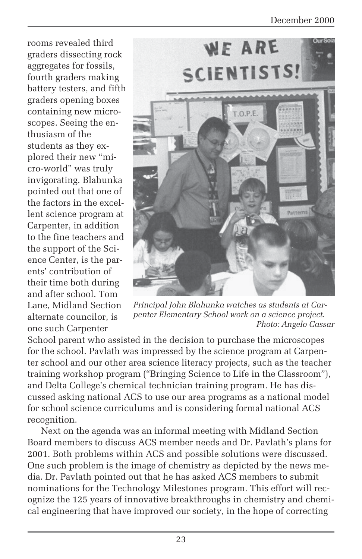#### December 2000

rooms revealed third graders dissecting rock aggregates for fossils, fourth graders making battery testers, and fifth graders opening boxes containing new microscopes. Seeing the enthusiasm of the students as they explored their new "micro-world" was truly invigorating. Blahunka pointed out that one of the factors in the excellent science program at Carpenter, in addition to the fine teachers and the support of the Science Center, is the parents' contribution of their time both during and after school. Tom Lane, Midland Section alternate councilor, is one such Carpenter



*Principal John Blahunka watches as students at Carpenter Elementary School work on a science project. Photo: Angelo Cassar*

School parent who assisted in the decision to purchase the microscopes for the school. Pavlath was impressed by the science program at Carpenter school and our other area science literacy projects, such as the teacher training workshop program ("Bringing Science to Life in the Classroom"), and Delta College's chemical technician training program. He has discussed asking national ACS to use our area programs as a national model for school science curriculums and is considering formal national ACS recognition.

Next on the agenda was an informal meeting with Midland Section Board members to discuss ACS member needs and Dr. Pavlath's plans for 2001. Both problems within ACS and possible solutions were discussed. One such problem is the image of chemistry as depicted by the news media. Dr. Pavlath pointed out that he has asked ACS members to submit nominations for the Technology Milestones program. This effort will recognize the 125 years of innovative breakthroughs in chemistry and chemical engineering that have improved our society, in the hope of correcting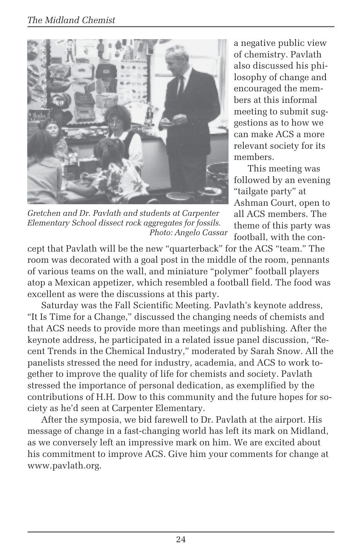

*Gretchen and Dr. Pavlath and students at Carpenter Elementary School dissect rock aggregates for fossils. Photo: Angelo Cassar*

a negative public view of chemistry. Pavlath also discussed his philosophy of change and encouraged the members at this informal meeting to submit suggestions as to how we can make ACS a more relevant society for its members.

This meeting was followed by an evening "tailgate party" at Ashman Court, open to all ACS members. The theme of this party was football, with the con-

cept that Pavlath will be the new "quarterback" for the ACS "team." The room was decorated with a goal post in the middle of the room, pennants of various teams on the wall, and miniature "polymer" football players atop a Mexican appetizer, which resembled a football field. The food was excellent as were the discussions at this party.

Saturday was the Fall Scientific Meeting. Pavlath's keynote address, "It Is Time for a Change," discussed the changing needs of chemists and that ACS needs to provide more than meetings and publishing. After the keynote address, he participated in a related issue panel discussion, "Recent Trends in the Chemical Industry," moderated by Sarah Snow. All the panelists stressed the need for industry, academia, and ACS to work together to improve the quality of life for chemists and society. Pavlath stressed the importance of personal dedication, as exemplified by the contributions of H.H. Dow to this community and the future hopes for society as he'd seen at Carpenter Elementary.

After the symposia, we bid farewell to Dr. Pavlath at the airport. His message of change in a fast-changing world has left its mark on Midland, as we conversely left an impressive mark on him. We are excited about his commitment to improve ACS. Give him your comments for change at www.pavlath.org.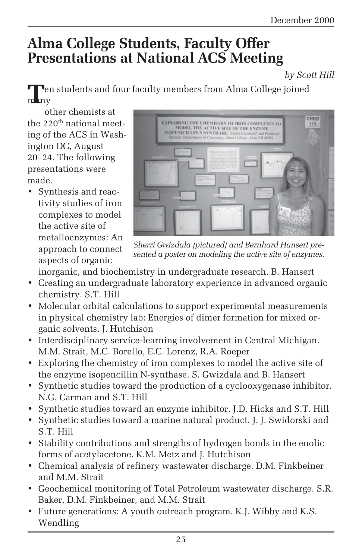## **Alma College Students, Faculty Offer Presentations at National ACS Meeting**

*by Scott Hill*

**Then** students and four faculty members from Alma College joined m Iny

other chemists at the 220<sup>th</sup> national meeting of the ACS in Washington DC, August 20–24. The following presentations were made.

• Synthesis and reactivity studies of iron complexes to model the active site of metalloenzymes: An approach to connect aspects of organic



*Sherri Gwizdala (pictured) and Bernhard Hansert presented a poster on modeling the active site of enzymes.*

inorganic, and biochemistry in undergraduate research. B. Hansert

- Creating an undergraduate laboratory experience in advanced organic chemistry. S.T. Hill
- Molecular orbital calculations to support experimental measurements in physical chemistry lab: Energies of dimer formation for mixed organic solvents. J. Hutchison
- Interdisciplinary service-learning involvement in Central Michigan. M.M. Strait, M.C. Borello, E.C. Lorenz, R.A. Roeper
- Exploring the chemistry of iron complexes to model the active site of the enzyme isopencillin N-synthase. S. Gwizdala and B. Hansert
- Synthetic studies toward the production of a cyclooxygenase inhibitor. N.G. Carman and S.T. Hill
- Synthetic studies toward an enzyme inhibitor. J.D. Hicks and S.T. Hill
- Synthetic studies toward a marine natural product. J. J. Swidorski and S.T. Hill
- Stability contributions and strengths of hydrogen bonds in the enolic forms of acetylacetone. K.M. Metz and J. Hutchison
- Chemical analysis of refinery wastewater discharge. D.M. Finkbeiner and M.M. Strait
- Geochemical monitoring of Total Petroleum wastewater discharge. S.R. Baker, D.M. Finkbeiner, and M.M. Strait
- Future generations: A youth outreach program. K.J. Wibby and K.S. Wendling